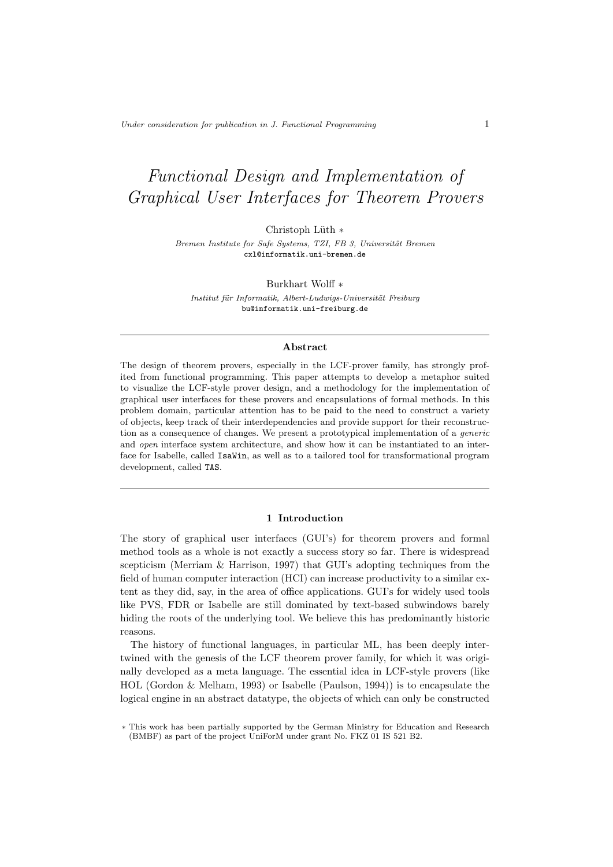# Functional Design and Implementation of Graphical User Interfaces for Theorem Provers

Christoph Lüth ∗

Bremen Institute for Safe Systems, TZI, FB 3, Universität Bremen cxl@informatik.uni-bremen.de

Burkhart Wolff ∗

Institut für Informatik, Albert-Ludwigs-Universität Freiburg bu@informatik.uni-freiburg.de

#### Abstract

The design of theorem provers, especially in the LCF-prover family, has strongly profited from functional programming. This paper attempts to develop a metaphor suited to visualize the LCF-style prover design, and a methodology for the implementation of graphical user interfaces for these provers and encapsulations of formal methods. In this problem domain, particular attention has to be paid to the need to construct a variety of objects, keep track of their interdependencies and provide support for their reconstruction as a consequence of changes. We present a prototypical implementation of a generic and open interface system architecture, and show how it can be instantiated to an interface for Isabelle, called IsaWin, as well as to a tailored tool for transformational program development, called TAS.

# 1 Introduction

The story of graphical user interfaces (GUI's) for theorem provers and formal method tools as a whole is not exactly a success story so far. There is widespread scepticism (Merriam & Harrison, 1997) that GUI's adopting techniques from the field of human computer interaction (HCI) can increase productivity to a similar extent as they did, say, in the area of office applications. GUI's for widely used tools like PVS, FDR or Isabelle are still dominated by text-based subwindows barely hiding the roots of the underlying tool. We believe this has predominantly historic reasons.

The history of functional languages, in particular ML, has been deeply intertwined with the genesis of the LCF theorem prover family, for which it was originally developed as a meta language. The essential idea in LCF-style provers (like HOL (Gordon & Melham, 1993) or Isabelle (Paulson, 1994)) is to encapsulate the logical engine in an abstract datatype, the objects of which can only be constructed

<sup>∗</sup> This work has been partially supported by the German Ministry for Education and Research (BMBF) as part of the project UniForM under grant No. FKZ 01 IS 521 B2.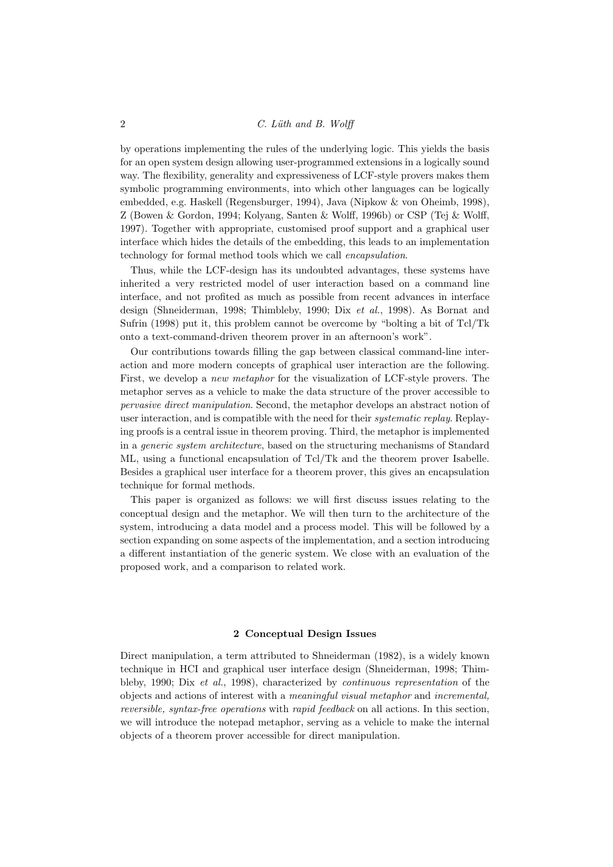# 2 C. Lüth and B. Wolff

by operations implementing the rules of the underlying logic. This yields the basis for an open system design allowing user-programmed extensions in a logically sound way. The flexibility, generality and expressiveness of LCF-style provers makes them symbolic programming environments, into which other languages can be logically embedded, e.g. Haskell (Regensburger, 1994), Java (Nipkow & von Oheimb, 1998), Z (Bowen & Gordon, 1994; Kolyang, Santen & Wolff, 1996b) or CSP (Tej & Wolff, 1997). Together with appropriate, customised proof support and a graphical user interface which hides the details of the embedding, this leads to an implementation technology for formal method tools which we call encapsulation.

Thus, while the LCF-design has its undoubted advantages, these systems have inherited a very restricted model of user interaction based on a command line interface, and not profited as much as possible from recent advances in interface design (Shneiderman, 1998; Thimbleby, 1990; Dix et al., 1998). As Bornat and Sufrin (1998) put it, this problem cannot be overcome by "bolting a bit of Tcl/Tk onto a text-command-driven theorem prover in an afternoon's work".

Our contributions towards filling the gap between classical command-line interaction and more modern concepts of graphical user interaction are the following. First, we develop a new metaphor for the visualization of LCF-style provers. The metaphor serves as a vehicle to make the data structure of the prover accessible to pervasive direct manipulation. Second, the metaphor develops an abstract notion of user interaction, and is compatible with the need for their *systematic replay*. Replaying proofs is a central issue in theorem proving. Third, the metaphor is implemented in a generic system architecture, based on the structuring mechanisms of Standard ML, using a functional encapsulation of Tcl/Tk and the theorem prover Isabelle. Besides a graphical user interface for a theorem prover, this gives an encapsulation technique for formal methods.

This paper is organized as follows: we will first discuss issues relating to the conceptual design and the metaphor. We will then turn to the architecture of the system, introducing a data model and a process model. This will be followed by a section expanding on some aspects of the implementation, and a section introducing a different instantiation of the generic system. We close with an evaluation of the proposed work, and a comparison to related work.

# 2 Conceptual Design Issues

Direct manipulation, a term attributed to Shneiderman (1982), is a widely known technique in HCI and graphical user interface design (Shneiderman, 1998; Thimbleby, 1990; Dix et al., 1998), characterized by continuous representation of the objects and actions of interest with a meaningful visual metaphor and incremental, reversible, syntax-free operations with rapid feedback on all actions. In this section, we will introduce the notepad metaphor, serving as a vehicle to make the internal objects of a theorem prover accessible for direct manipulation.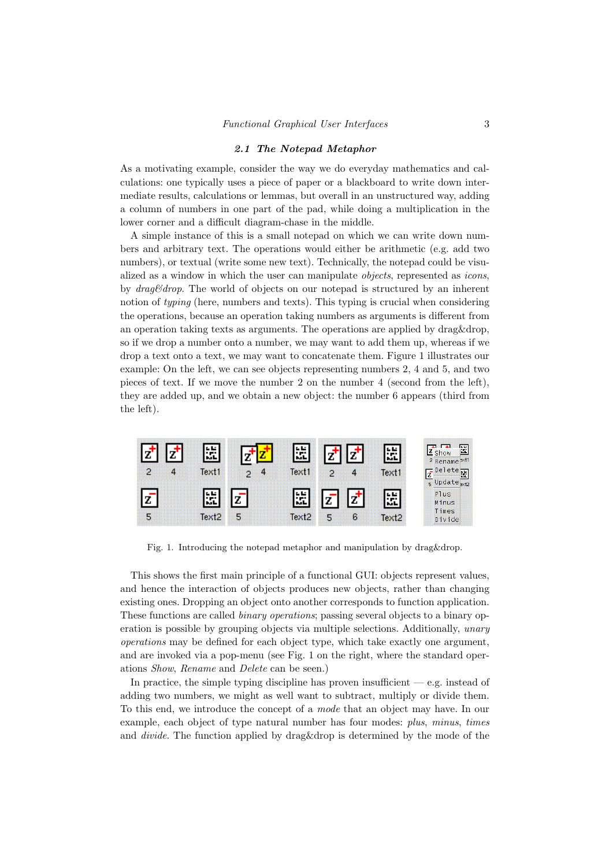#### 2.1 The Notepad Metaphor

As a motivating example, consider the way we do everyday mathematics and calculations: one typically uses a piece of paper or a blackboard to write down intermediate results, calculations or lemmas, but overall in an unstructured way, adding a column of numbers in one part of the pad, while doing a multiplication in the lower corner and a difficult diagram-chase in the middle.

A simple instance of this is a small notepad on which we can write down numbers and arbitrary text. The operations would either be arithmetic (e.g. add two numbers), or textual (write some new text). Technically, the notepad could be visualized as a window in which the user can manipulate objects, represented as icons, by drag&drop. The world of objects on our notepad is structured by an inherent notion of typing (here, numbers and texts). This typing is crucial when considering the operations, because an operation taking numbers as arguments is different from an operation taking texts as arguments. The operations are applied by drag&drop, so if we drop a number onto a number, we may want to add them up, whereas if we drop a text onto a text, we may want to concatenate them. Figure 1 illustrates our example: On the left, we can see objects representing numbers 2, 4 and 5, and two pieces of text. If we move the number 2 on the number 4 (second from the left), they are added up, and we obtain a new object: the number 6 appears (third from the left).



Fig. 1. Introducing the notepad metaphor and manipulation by drag&drop.

This shows the first main principle of a functional GUI: objects represent values, and hence the interaction of objects produces new objects, rather than changing existing ones. Dropping an object onto another corresponds to function application. These functions are called *binary operations*; passing several objects to a binary operation is possible by grouping objects via multiple selections. Additionally, unary operations may be defined for each object type, which take exactly one argument, and are invoked via a pop-menu (see Fig. 1 on the right, where the standard operations Show, Rename and Delete can be seen.)

In practice, the simple typing discipline has proven insufficient  $-e.g.$  instead of adding two numbers, we might as well want to subtract, multiply or divide them. To this end, we introduce the concept of a mode that an object may have. In our example, each object of type natural number has four modes: plus, minus, times and divide. The function applied by drag&drop is determined by the mode of the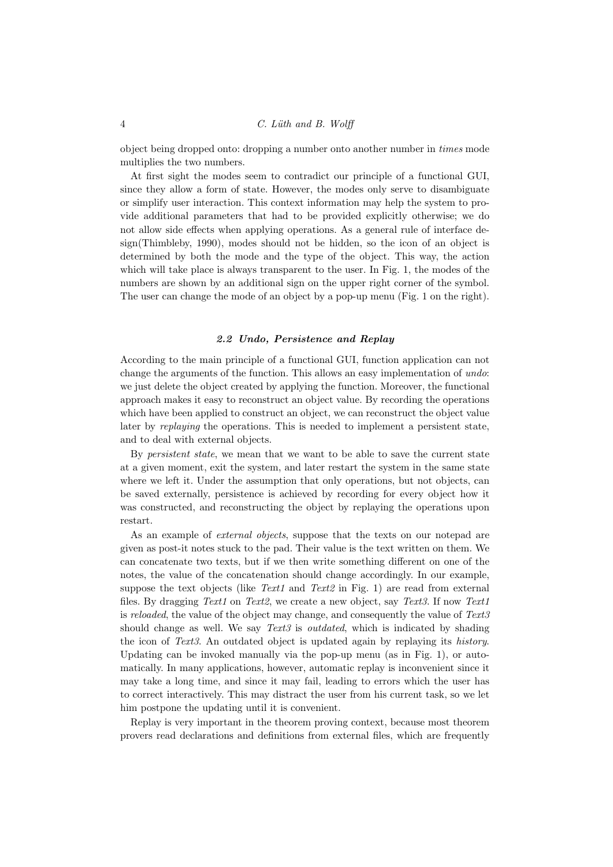object being dropped onto: dropping a number onto another number in times mode multiplies the two numbers.

At first sight the modes seem to contradict our principle of a functional GUI, since they allow a form of state. However, the modes only serve to disambiguate or simplify user interaction. This context information may help the system to provide additional parameters that had to be provided explicitly otherwise; we do not allow side effects when applying operations. As a general rule of interface design(Thimbleby, 1990), modes should not be hidden, so the icon of an object is determined by both the mode and the type of the object. This way, the action which will take place is always transparent to the user. In Fig. 1, the modes of the numbers are shown by an additional sign on the upper right corner of the symbol. The user can change the mode of an object by a pop-up menu (Fig. 1 on the right).

#### 2.2 Undo, Persistence and Replay

According to the main principle of a functional GUI, function application can not change the arguments of the function. This allows an easy implementation of undo: we just delete the object created by applying the function. Moreover, the functional approach makes it easy to reconstruct an object value. By recording the operations which have been applied to construct an object, we can reconstruct the object value later by replaying the operations. This is needed to implement a persistent state, and to deal with external objects.

By *persistent state*, we mean that we want to be able to save the current state at a given moment, exit the system, and later restart the system in the same state where we left it. Under the assumption that only operations, but not objects, can be saved externally, persistence is achieved by recording for every object how it was constructed, and reconstructing the object by replaying the operations upon restart.

As an example of *external objects*, suppose that the texts on our notepad are given as post-it notes stuck to the pad. Their value is the text written on them. We can concatenate two texts, but if we then write something different on one of the notes, the value of the concatenation should change accordingly. In our example, suppose the text objects (like Text1 and Text2 in Fig. 1) are read from external files. By dragging Text1 on Text2, we create a new object, say Text3. If now Text1 is reloaded, the value of the object may change, and consequently the value of Text3 should change as well. We say *Text3* is *outdated*, which is indicated by shading the icon of Text3. An outdated object is updated again by replaying its history. Updating can be invoked manually via the pop-up menu (as in Fig. 1), or automatically. In many applications, however, automatic replay is inconvenient since it may take a long time, and since it may fail, leading to errors which the user has to correct interactively. This may distract the user from his current task, so we let him postpone the updating until it is convenient.

Replay is very important in the theorem proving context, because most theorem provers read declarations and definitions from external files, which are frequently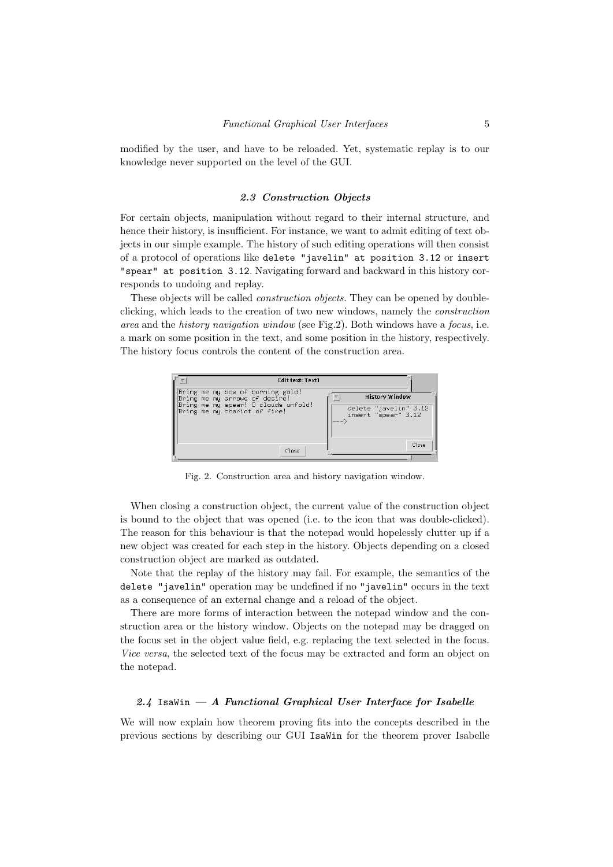modified by the user, and have to be reloaded. Yet, systematic replay is to our knowledge never supported on the level of the GUI.

# 2.3 Construction Objects

For certain objects, manipulation without regard to their internal structure, and hence their history, is insufficient. For instance, we want to admit editing of text objects in our simple example. The history of such editing operations will then consist of a protocol of operations like delete "javelin" at position 3.12 or insert "spear" at position 3.12. Navigating forward and backward in this history corresponds to undoing and replay.

These objects will be called *construction objects*. They can be opened by doubleclicking, which leads to the creation of two new windows, namely the construction area and the history navigation window (see Fig.2). Both windows have a focus, i.e. a mark on some position in the text, and some position in the history, respectively. The history focus controls the content of the construction area.



Fig. 2. Construction area and history navigation window.

When closing a construction object, the current value of the construction object is bound to the object that was opened (i.e. to the icon that was double-clicked). The reason for this behaviour is that the notepad would hopelessly clutter up if a new object was created for each step in the history. Objects depending on a closed construction object are marked as outdated.

Note that the replay of the history may fail. For example, the semantics of the delete "javelin" operation may be undefined if no "javelin" occurs in the text as a consequence of an external change and a reload of the object.

There are more forms of interaction between the notepad window and the construction area or the history window. Objects on the notepad may be dragged on the focus set in the object value field, e.g. replacing the text selected in the focus. Vice versa, the selected text of the focus may be extracted and form an object on the notepad.

# 2.4 IsaWin — A Functional Graphical User Interface for Isabelle

We will now explain how theorem proving fits into the concepts described in the previous sections by describing our GUI IsaWin for the theorem prover Isabelle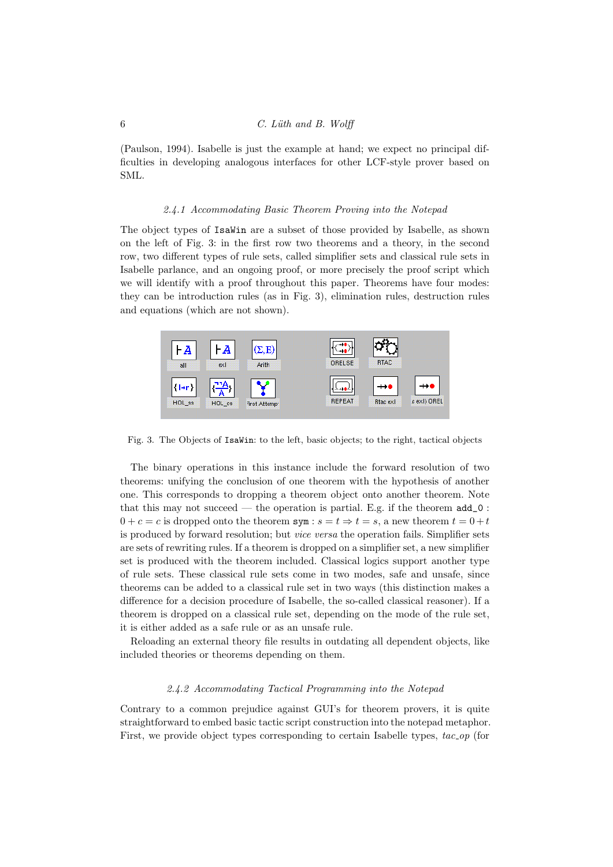# $C.$  Lüth and B. Wolff

(Paulson, 1994). Isabelle is just the example at hand; we expect no principal difficulties in developing analogous interfaces for other LCF-style prover based on SML.

# 2.4.1 Accommodating Basic Theorem Proving into the Notepad

The object types of IsaWin are a subset of those provided by Isabelle, as shown on the left of Fig. 3: in the first row two theorems and a theory, in the second row, two different types of rule sets, called simplifier sets and classical rule sets in Isabelle parlance, and an ongoing proof, or more precisely the proof script which we will identify with a proof throughout this paper. Theorems have four modes: they can be introduction rules (as in Fig. 3), elimination rules, destruction rules and equations (which are not shown).



Fig. 3. The Objects of IsaWin: to the left, basic objects; to the right, tactical objects

The binary operations in this instance include the forward resolution of two theorems: unifying the conclusion of one theorem with the hypothesis of another one. This corresponds to dropping a theorem object onto another theorem. Note that this may not succeed — the operation is partial. E.g. if the theorem  $add_0$ :  $0 + c = c$  is dropped onto the theorem sym :  $s = t \Rightarrow t = s$ , a new theorem  $t = 0 + t$ is produced by forward resolution; but vice versa the operation fails. Simplifier sets are sets of rewriting rules. If a theorem is dropped on a simplifier set, a new simplifier set is produced with the theorem included. Classical logics support another type of rule sets. These classical rule sets come in two modes, safe and unsafe, since theorems can be added to a classical rule set in two ways (this distinction makes a difference for a decision procedure of Isabelle, the so-called classical reasoner). If a theorem is dropped on a classical rule set, depending on the mode of the rule set, it is either added as a safe rule or as an unsafe rule.

Reloading an external theory file results in outdating all dependent objects, like included theories or theorems depending on them.

#### 2.4.2 Accommodating Tactical Programming into the Notepad

Contrary to a common prejudice against GUI's for theorem provers, it is quite straightforward to embed basic tactic script construction into the notepad metaphor. First, we provide object types corresponding to certain Isabelle types,  $tac\_op$  (for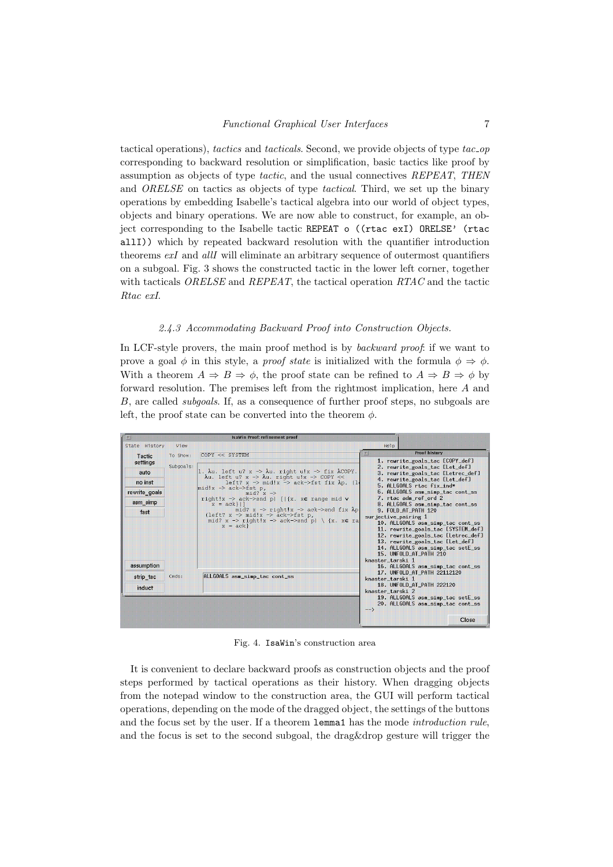tactical operations), tactics and tacticals. Second, we provide objects of type tac-op corresponding to backward resolution or simplification, basic tactics like proof by assumption as objects of type tactic, and the usual connectives REPEAT, THEN and ORELSE on tactics as objects of type tactical. Third, we set up the binary operations by embedding Isabelle's tactical algebra into our world of object types, objects and binary operations. We are now able to construct, for example, an object corresponding to the Isabelle tactic REPEAT o ((rtac exI) ORELSE' (rtac allI)) which by repeated backward resolution with the quantifier introduction theorems exI and allI will eliminate an arbitrary sequence of outermost quantifiers on a subgoal. Fig. 3 shows the constructed tactic in the lower left corner, together with tacticals ORELSE and REPEAT, the tactical operation  $RTAC$  and the tactic Rtac exI.

#### 2.4.3 Accommodating Backward Proof into Construction Objects.

In LCF-style provers, the main proof method is by backward proof: if we want to prove a goal  $\phi$  in this style, a *proof state* is initialized with the formula  $\phi \Rightarrow \phi$ . With a theorem  $A \Rightarrow B \Rightarrow \phi$ , the proof state can be refined to  $A \Rightarrow B \Rightarrow \phi$  by forward resolution. The premises left from the rightmost implication, here A and B, are called subgoals. If, as a consequence of further proof steps, no subgoals are left, the proof state can be converted into the theorem  $\phi$ .

| $ \nabla $              |           | <b>IsaWin Proof: refinement proof</b>                                                                                                                                                                                           |                                                                                                                                                                                                                                                                                    |                                                                                                       |       |  |
|-------------------------|-----------|---------------------------------------------------------------------------------------------------------------------------------------------------------------------------------------------------------------------------------|------------------------------------------------------------------------------------------------------------------------------------------------------------------------------------------------------------------------------------------------------------------------------------|-------------------------------------------------------------------------------------------------------|-------|--|
| State History           | View      |                                                                                                                                                                                                                                 | Help                                                                                                                                                                                                                                                                               |                                                                                                       |       |  |
| Tactic<br>settings      | To Show:  | COPY << SYSTEM                                                                                                                                                                                                                  |                                                                                                                                                                                                                                                                                    | <b>Proof history</b><br>1. rewrite_goals_tac [COPY_def]                                               |       |  |
| auto                    | Subgoals: | 1. $\lambda u$ . left u? x -> $\lambda u$ . right u!x -> fix $\lambda$ COPY.<br>$\lambda$ u. left u? x -> $\lambda$ u. right u!x -> COPY <<                                                                                     |                                                                                                                                                                                                                                                                                    | 2. rewrite_goals_tac [Let_def]<br>3. rewrite_goals_tac [Letrec_def]<br>4. rewrite_goals_tac [Let_def] |       |  |
| no inst                 |           | left? x $\Rightarrow$ midlx $\Rightarrow$ ack->fst fix $\lambda p$ . (le<br>$midx \rightarrow act \rightarrow fst$ p.                                                                                                           |                                                                                                                                                                                                                                                                                    | 5. ALLGOALS rtac fix ind*                                                                             |       |  |
| rewrite goals           |           | $mid? x \rightarrow$<br>rightlx $\Rightarrow$ ack->snd p) []{x. xe range mid v                                                                                                                                                  |                                                                                                                                                                                                                                                                                    | 6. ALLGOALS asm_simp_tac cont_ss<br>7. rtac adm ref ord 2                                             |       |  |
| asm simp                |           | $x = ack$                                                                                                                                                                                                                       |                                                                                                                                                                                                                                                                                    | 8. ALLGOALS asm_simp_tac cont_ss                                                                      |       |  |
| fast                    |           | mid? $x \rightarrow$ right!x $\rightarrow$ ack->snd fix $\lambda p$<br>$\text{left? } x \rightarrow \text{mid} x \rightarrow \text{ack} \rightarrow \text{fst}$ p.<br>mid? x -> right!x -> ack->snd p) \ {x. xe ra<br>$x = ack$ | 9. FOLD_AT_PATH 120<br>surjective_pairing 1<br>10. ALLGOALS asm_simp_tac cont_ss<br>11. rewrite_goals_tac [SYSTEM_def]<br>12. rewrite_goals_tac [Letrec_def]<br>13. rewrite_goals_tac [Let_def]<br>14. ALLGOALS asm_simp_tac setE_ss<br>15. UNFOLD AT PATH 210<br>knaster tarski 1 |                                                                                                       |       |  |
| assumption<br>strip tac | $Cmds$ :  | ALLGOALS asm_simp_tac cont_ss                                                                                                                                                                                                   | 16. ALLGOALS asm_simp_tac cont_ss<br>17. UNFOLD AT PATH 22112120<br>knaster_tarski 1                                                                                                                                                                                               |                                                                                                       |       |  |
| induct                  |           |                                                                                                                                                                                                                                 | knaster tarski 2                                                                                                                                                                                                                                                                   | 18. UNFOLD_AT_PATH 222120<br>19. ALLGOALS asm_simp_tac setE_ss                                        |       |  |
|                         |           |                                                                                                                                                                                                                                 | $\rightarrow$                                                                                                                                                                                                                                                                      | 20. ALLGOALS asm_simp_tac cont_ss                                                                     |       |  |
|                         |           |                                                                                                                                                                                                                                 |                                                                                                                                                                                                                                                                                    |                                                                                                       | Close |  |

Fig. 4. IsaWin's construction area

It is convenient to declare backward proofs as construction objects and the proof steps performed by tactical operations as their history. When dragging objects from the notepad window to the construction area, the GUI will perform tactical operations, depending on the mode of the dragged object, the settings of the buttons and the focus set by the user. If a theorem lemma1 has the mode introduction rule, and the focus is set to the second subgoal, the drag&drop gesture will trigger the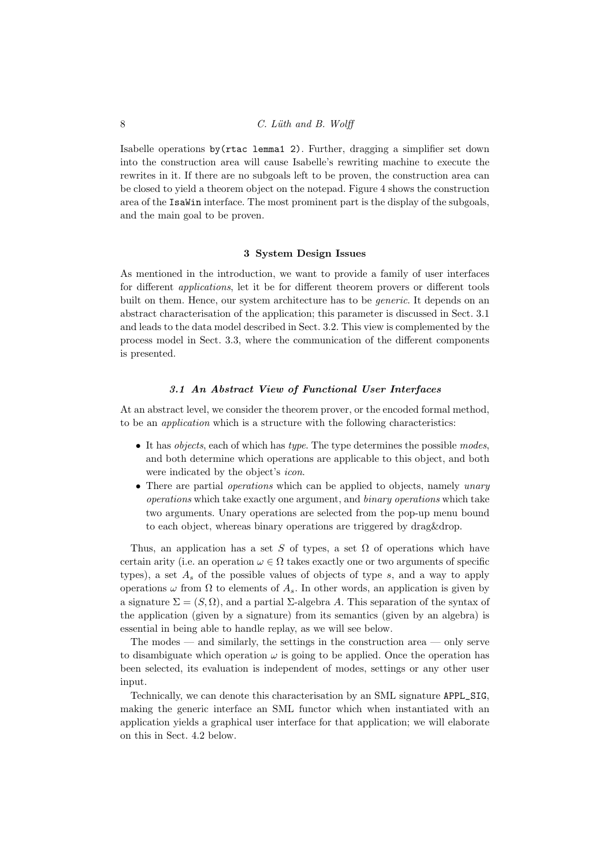Isabelle operations by(rtac lemma1 2). Further, dragging a simplifier set down into the construction area will cause Isabelle's rewriting machine to execute the rewrites in it. If there are no subgoals left to be proven, the construction area can be closed to yield a theorem object on the notepad. Figure 4 shows the construction area of the IsaWin interface. The most prominent part is the display of the subgoals, and the main goal to be proven.

#### 3 System Design Issues

As mentioned in the introduction, we want to provide a family of user interfaces for different applications, let it be for different theorem provers or different tools built on them. Hence, our system architecture has to be *generic*. It depends on an abstract characterisation of the application; this parameter is discussed in Sect. 3.1 and leads to the data model described in Sect. 3.2. This view is complemented by the process model in Sect. 3.3, where the communication of the different components is presented.

## 3.1 An Abstract View of Functional User Interfaces

At an abstract level, we consider the theorem prover, or the encoded formal method, to be an application which is a structure with the following characteristics:

- It has *objects*, each of which has *type*. The type determines the possible modes, and both determine which operations are applicable to this object, and both were indicated by the object's *icon*.
- There are partial *operations* which can be applied to objects, namely *unary* operations which take exactly one argument, and binary operations which take two arguments. Unary operations are selected from the pop-up menu bound to each object, whereas binary operations are triggered by drag&drop.

Thus, an application has a set S of types, a set  $\Omega$  of operations which have certain arity (i.e. an operation  $\omega \in \Omega$  takes exactly one or two arguments of specific types), a set  $A_s$  of the possible values of objects of type s, and a way to apply operations  $\omega$  from  $\Omega$  to elements of  $A_s$ . In other words, an application is given by a signature  $\Sigma = (S, \Omega)$ , and a partial  $\Sigma$ -algebra A. This separation of the syntax of the application (given by a signature) from its semantics (given by an algebra) is essential in being able to handle replay, as we will see below.

The modes — and similarly, the settings in the construction area — only serve to disambiguate which operation  $\omega$  is going to be applied. Once the operation has been selected, its evaluation is independent of modes, settings or any other user input.

Technically, we can denote this characterisation by an SML signature APPL\_SIG, making the generic interface an SML functor which when instantiated with an application yields a graphical user interface for that application; we will elaborate on this in Sect. 4.2 below.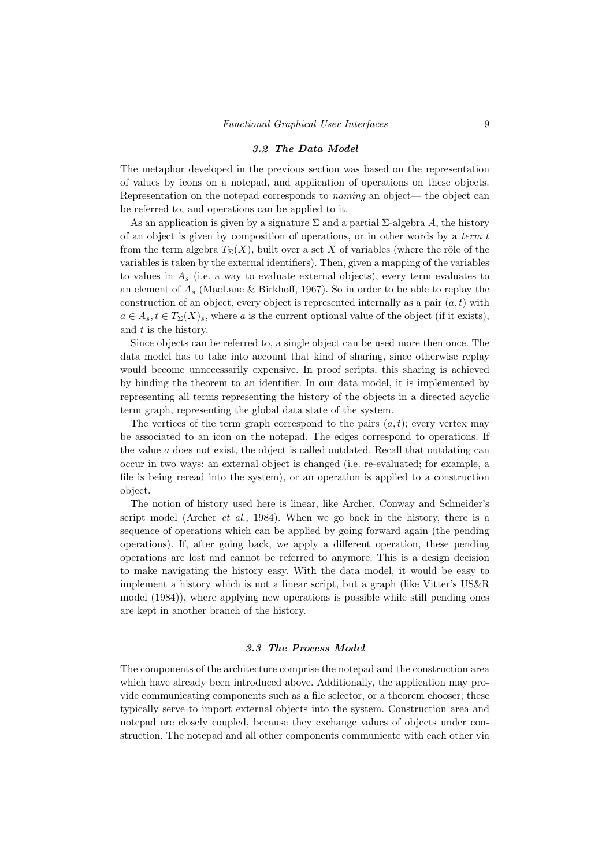#### 3.2 The Data Model

The metaphor developed in the previous section was based on the representation of values by icons on a notepad, and application of operations on these objects. Representation on the notepad corresponds to naming an object— the object can be referred to, and operations can be applied to it.

As an application is given by a signature  $\Sigma$  and a partial  $\Sigma$ -algebra A, the history of an object is given by composition of operations, or in other words by a term t from the term algebra  $T_{\Sigma}(X)$ , built over a set X of variables (where the rôle of the variables is taken by the external identifiers). Then, given a mapping of the variables to values in  $A_s$  (i.e. a way to evaluate external objects), every term evaluates to an element of  $A_s$  (MacLane & Birkhoff, 1967). So in order to be able to replay the construction of an object, every object is represented internally as a pair  $(a, t)$  with  $a \in A_s, t \in T_\Sigma(X)_s$ , where a is the current optional value of the object (if it exists), and  $t$  is the history.

Since objects can be referred to, a single object can be used more then once. The data model has to take into account that kind of sharing, since otherwise replay would become unnecessarily expensive. In proof scripts, this sharing is achieved by binding the theorem to an identifier. In our data model, it is implemented by representing all terms representing the history of the objects in a directed acyclic term graph, representing the global data state of the system.

The vertices of the term graph correspond to the pairs  $(a, t)$ ; every vertex may be associated to an icon on the notepad. The edges correspond to operations. If the value a does not exist, the object is called outdated. Recall that outdating can occur in two ways: an external object is changed (i.e. re-evaluated; for example, a file is being reread into the system), or an operation is applied to a construction object.

The notion of history used here is linear, like Archer, Conway and Schneider's script model (Archer *et al.*, 1984). When we go back in the history, there is a sequence of operations which can be applied by going forward again (the pending operations). If, after going back, we apply a different operation, these pending operations are lost and cannot be referred to anymore. This is a design decision to make navigating the history easy. With the data model, it would be easy to implement a history which is not a linear script, but a graph (like Vitter's US&R model (1984)), where applying new operations is possible while still pending ones are kept in another branch of the history.

# 3.3 The Process Model

The components of the architecture comprise the notepad and the construction area which have already been introduced above. Additionally, the application may provide communicating components such as a file selector, or a theorem chooser; these typically serve to import external objects into the system. Construction area and notepad are closely coupled, because they exchange values of objects under construction. The notepad and all other components communicate with each other via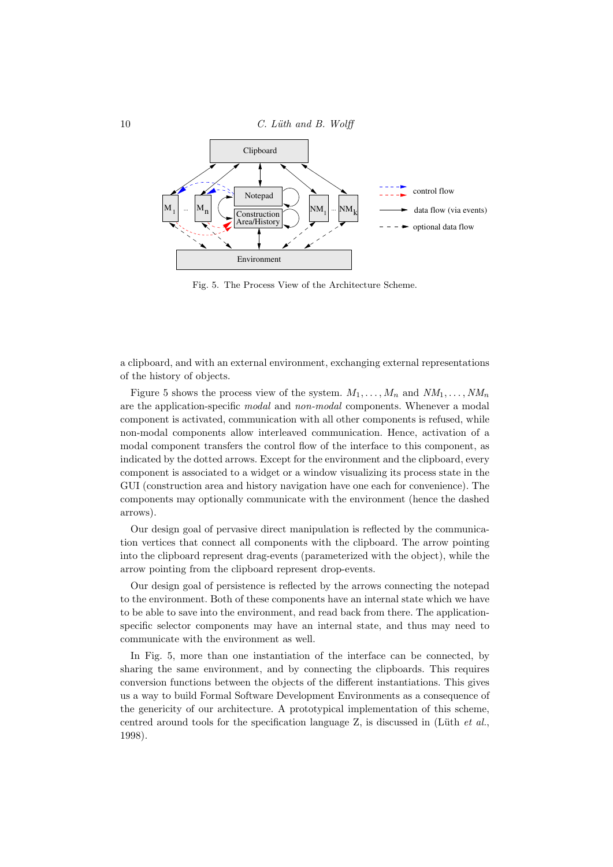

Fig. 5. The Process View of the Architecture Scheme.

a clipboard, and with an external environment, exchanging external representations of the history of objects.

Figure 5 shows the process view of the system.  $M_1, \ldots, M_n$  and  $NM_1, \ldots, NM_n$ are the application-specific modal and non-modal components. Whenever a modal component is activated, communication with all other components is refused, while non-modal components allow interleaved communication. Hence, activation of a modal component transfers the control flow of the interface to this component, as indicated by the dotted arrows. Except for the environment and the clipboard, every component is associated to a widget or a window visualizing its process state in the GUI (construction area and history navigation have one each for convenience). The components may optionally communicate with the environment (hence the dashed arrows).

Our design goal of pervasive direct manipulation is reflected by the communication vertices that connect all components with the clipboard. The arrow pointing into the clipboard represent drag-events (parameterized with the object), while the arrow pointing from the clipboard represent drop-events.

Our design goal of persistence is reflected by the arrows connecting the notepad to the environment. Both of these components have an internal state which we have to be able to save into the environment, and read back from there. The applicationspecific selector components may have an internal state, and thus may need to communicate with the environment as well.

In Fig. 5, more than one instantiation of the interface can be connected, by sharing the same environment, and by connecting the clipboards. This requires conversion functions between the objects of the different instantiations. This gives us a way to build Formal Software Development Environments as a consequence of the genericity of our architecture. A prototypical implementation of this scheme, centred around tools for the specification language  $Z$ , is discussed in (Lüth *et al.*, 1998).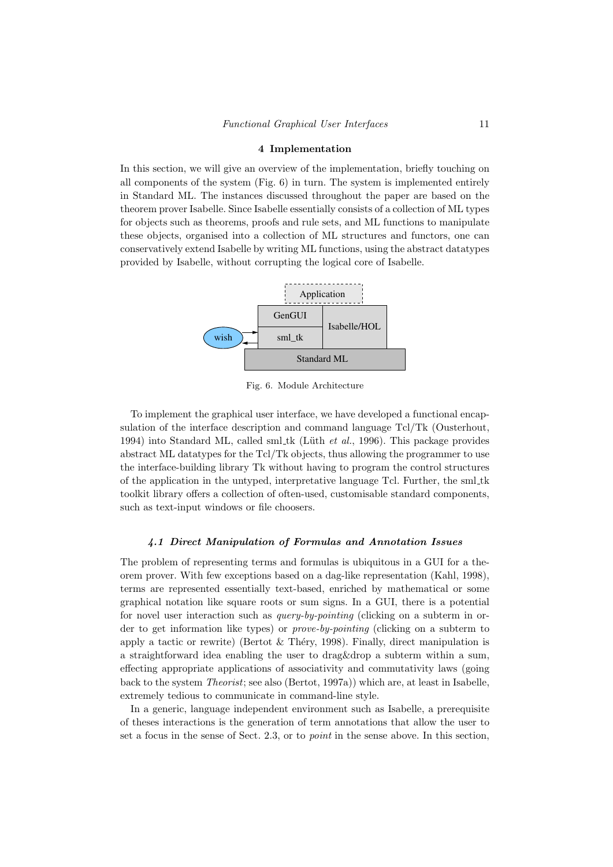#### 4 Implementation

In this section, we will give an overview of the implementation, briefly touching on all components of the system (Fig. 6) in turn. The system is implemented entirely in Standard ML. The instances discussed throughout the paper are based on the theorem prover Isabelle. Since Isabelle essentially consists of a collection of ML types for objects such as theorems, proofs and rule sets, and ML functions to manipulate these objects, organised into a collection of ML structures and functors, one can conservatively extend Isabelle by writing ML functions, using the abstract datatypes provided by Isabelle, without corrupting the logical core of Isabelle.



Fig. 6. Module Architecture

To implement the graphical user interface, we have developed a functional encapsulation of the interface description and command language Tcl/Tk (Ousterhout, 1994) into Standard ML, called sml\_tk (Lüth  $et$  al., 1996). This package provides abstract ML datatypes for the Tcl/Tk objects, thus allowing the programmer to use the interface-building library Tk without having to program the control structures of the application in the untyped, interpretative language Tcl. Further, the sml tk toolkit library offers a collection of often-used, customisable standard components, such as text-input windows or file choosers.

# 4.1 Direct Manipulation of Formulas and Annotation Issues

The problem of representing terms and formulas is ubiquitous in a GUI for a theorem prover. With few exceptions based on a dag-like representation (Kahl, 1998), terms are represented essentially text-based, enriched by mathematical or some graphical notation like square roots or sum signs. In a GUI, there is a potential for novel user interaction such as *query-by-pointing* (clicking on a subterm in order to get information like types) or prove-by-pointing (clicking on a subterm to apply a tactic or rewrite) (Bertot  $\&$  Théry, 1998). Finally, direct manipulation is a straightforward idea enabling the user to drag&drop a subterm within a sum, effecting appropriate applications of associativity and commutativity laws (going back to the system Theorist; see also (Bertot, 1997a)) which are, at least in Isabelle, extremely tedious to communicate in command-line style.

In a generic, language independent environment such as Isabelle, a prerequisite of theses interactions is the generation of term annotations that allow the user to set a focus in the sense of Sect. 2.3, or to point in the sense above. In this section,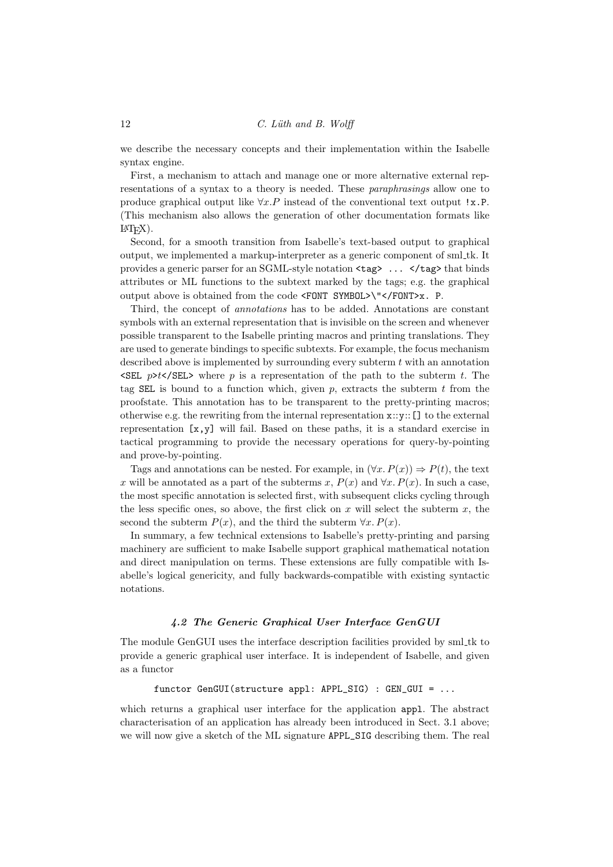we describe the necessary concepts and their implementation within the Isabelle syntax engine.

First, a mechanism to attach and manage one or more alternative external representations of a syntax to a theory is needed. These paraphrasings allow one to produce graphical output like  $\forall x.P$  instead of the conventional text output !x.P. (This mechanism also allows the generation of other documentation formats like  $LAT$ <sub>F</sub>X $)$ .

Second, for a smooth transition from Isabelle's text-based output to graphical output, we implemented a markup-interpreter as a generic component of sml\_tk. It provides a generic parser for an SGML-style notation <tag> ... </tag> that binds attributes or ML functions to the subtext marked by the tags; e.g. the graphical output above is obtained from the code <FONT SYMBOL>\"</FONT>x. P.

Third, the concept of annotations has to be added. Annotations are constant symbols with an external representation that is invisible on the screen and whenever possible transparent to the Isabelle printing macros and printing translations. They are used to generate bindings to specific subtexts. For example, the focus mechanism described above is implemented by surrounding every subterm  $t$  with an annotation  $\triangle$ SEL p>t $\triangle$ /SEL> where p is a representation of the path to the subterm t. The tag SEL is bound to a function which, given  $p$ , extracts the subterm  $t$  from the proofstate. This annotation has to be transparent to the pretty-printing macros; otherwise e.g. the rewriting from the internal representation  $x: y: [$ ] to the external representation  $[x, y]$  will fail. Based on these paths, it is a standard exercise in tactical programming to provide the necessary operations for query-by-pointing and prove-by-pointing.

Tags and annotations can be nested. For example, in  $(\forall x. P(x)) \Rightarrow P(t)$ , the text x will be annotated as a part of the subterms x,  $P(x)$  and  $\forall x$ .  $P(x)$ . In such a case, the most specific annotation is selected first, with subsequent clicks cycling through the less specific ones, so above, the first click on  $x$  will select the subterm  $x$ , the second the subterm  $P(x)$ , and the third the subterm  $\forall x \, P(x)$ .

In summary, a few technical extensions to Isabelle's pretty-printing and parsing machinery are sufficient to make Isabelle support graphical mathematical notation and direct manipulation on terms. These extensions are fully compatible with Isabelle's logical genericity, and fully backwards-compatible with existing syntactic notations.

#### 4.2 The Generic Graphical User Interface GenGUI

The module GenGUI uses the interface description facilities provided by sml tk to provide a generic graphical user interface. It is independent of Isabelle, and given as a functor

functor GenGUI(structure appl: APPL\_SIG) : GEN\_GUI = ...

which returns a graphical user interface for the application appl. The abstract characterisation of an application has already been introduced in Sect. 3.1 above; we will now give a sketch of the ML signature APPL\_SIG describing them. The real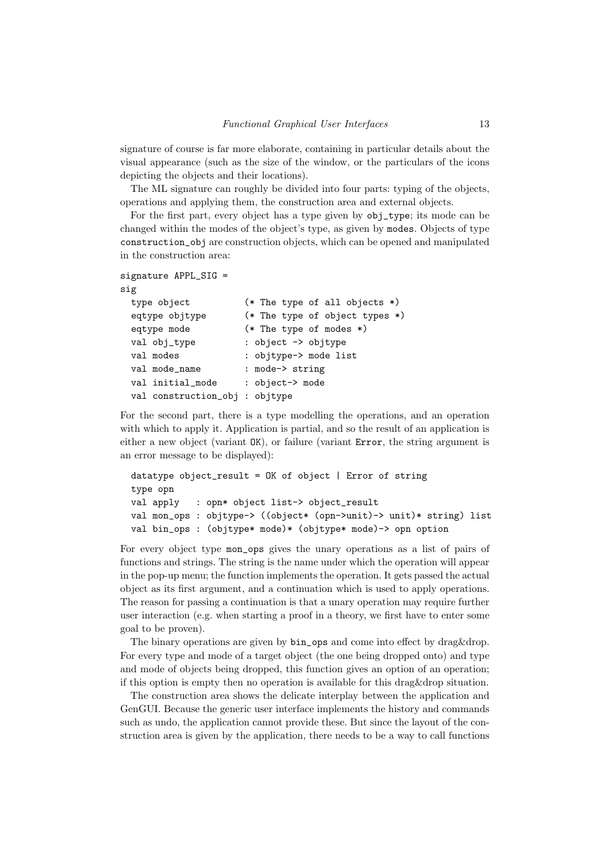signature of course is far more elaborate, containing in particular details about the visual appearance (such as the size of the window, or the particulars of the icons depicting the objects and their locations).

The ML signature can roughly be divided into four parts: typing of the objects, operations and applying them, the construction area and external objects.

For the first part, every object has a type given by obj\_type; its mode can be changed within the modes of the object's type, as given by modes. Objects of type construction\_obj are construction objects, which can be opened and manipulated in the construction area:

```
signature APPL_SIG =
sig
```

```
type object (* The type of all objects *)
eqtype objtype (* The type of object types *)
eqtype mode (* The type of modes *)
val obj_type : object -> objtype
val modes : objtype-> mode list
val mode_name : mode-> string
val initial_mode : object-> mode
val construction_obj : objtype
```
For the second part, there is a type modelling the operations, and an operation with which to apply it. Application is partial, and so the result of an application is either a new object (variant OK), or failure (variant Error, the string argument is an error message to be displayed):

```
datatype object_result = 0K of object | Error of string
type opn
val apply : opn* object list-> object_result
val mon_ops : objtype-> ((object* (opn->unit)-> unit)* string) list
val bin_ops : (objtype* mode)* (objtype* mode)-> opn option
```
For every object type mon ops gives the unary operations as a list of pairs of functions and strings. The string is the name under which the operation will appear in the pop-up menu; the function implements the operation. It gets passed the actual object as its first argument, and a continuation which is used to apply operations. The reason for passing a continuation is that a unary operation may require further user interaction (e.g. when starting a proof in a theory, we first have to enter some goal to be proven).

The binary operations are given by bin\_ops and come into effect by drag&drop. For every type and mode of a target object (the one being dropped onto) and type and mode of objects being dropped, this function gives an option of an operation; if this option is empty then no operation is available for this drag&drop situation.

The construction area shows the delicate interplay between the application and GenGUI. Because the generic user interface implements the history and commands such as undo, the application cannot provide these. But since the layout of the construction area is given by the application, there needs to be a way to call functions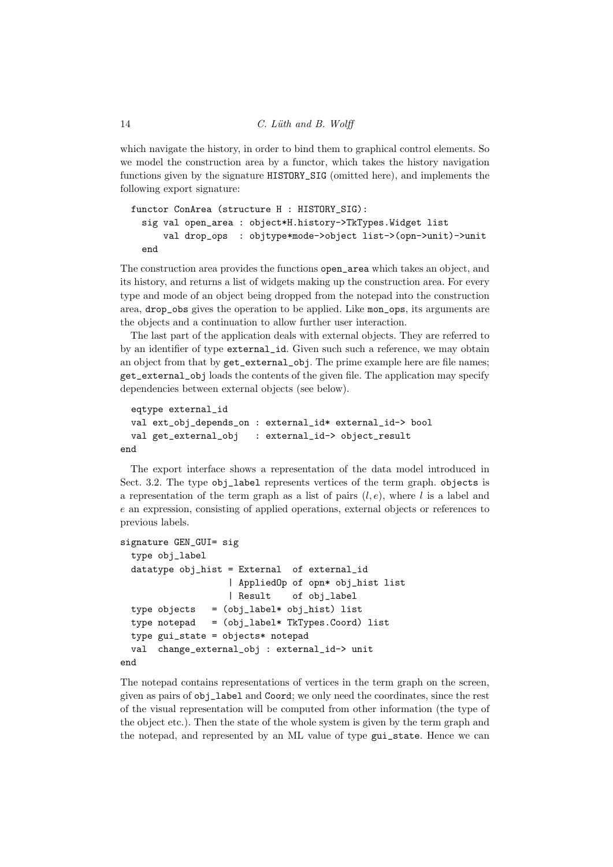which navigate the history, in order to bind them to graphical control elements. So we model the construction area by a functor, which takes the history navigation functions given by the signature HISTORY\_SIG (omitted here), and implements the following export signature:

```
functor ConArea (structure H : HISTORY_SIG):
 sig val open_area : object*H.history->TkTypes.Widget list
      val drop_ops : objtype*mode->object list->(opn->unit)->unit
 end
```
The construction area provides the functions open\_area which takes an object, and its history, and returns a list of widgets making up the construction area. For every type and mode of an object being dropped from the notepad into the construction area, drop\_obs gives the operation to be applied. Like mon\_ops, its arguments are the objects and a continuation to allow further user interaction.

The last part of the application deals with external objects. They are referred to by an identifier of type external\_id. Given such such a reference, we may obtain an object from that by get\_external\_obj. The prime example here are file names; get\_external\_obj loads the contents of the given file. The application may specify dependencies between external objects (see below).

```
eqtype external_id
  val ext_obj_depends_on : external_id* external_id-> bool
  val get_external_obj : external_id-> object_result
end
```
The export interface shows a representation of the data model introduced in Sect. 3.2. The type obj\_label represents vertices of the term graph. objects is a representation of the term graph as a list of pairs  $(l, e)$ , where l is a label and e an expression, consisting of applied operations, external objects or references to previous labels.

```
signature GEN_GUI= sig
  type obj_label
  datatype obj_hist = External of external_id
                    | AppliedOp of opn* obj_hist list
                    | Result of obj_label
  type objects = (obj_labels * obj\_hist) list
  type notepad = (obj_label* TkTypes.Coord) list
  type gui_state = objects* notepad
  val change_external_obj : external_id-> unit
end
```
The notepad contains representations of vertices in the term graph on the screen, given as pairs of obj\_label and Coord; we only need the coordinates, since the rest of the visual representation will be computed from other information (the type of the object etc.). Then the state of the whole system is given by the term graph and the notepad, and represented by an ML value of type gui\_state. Hence we can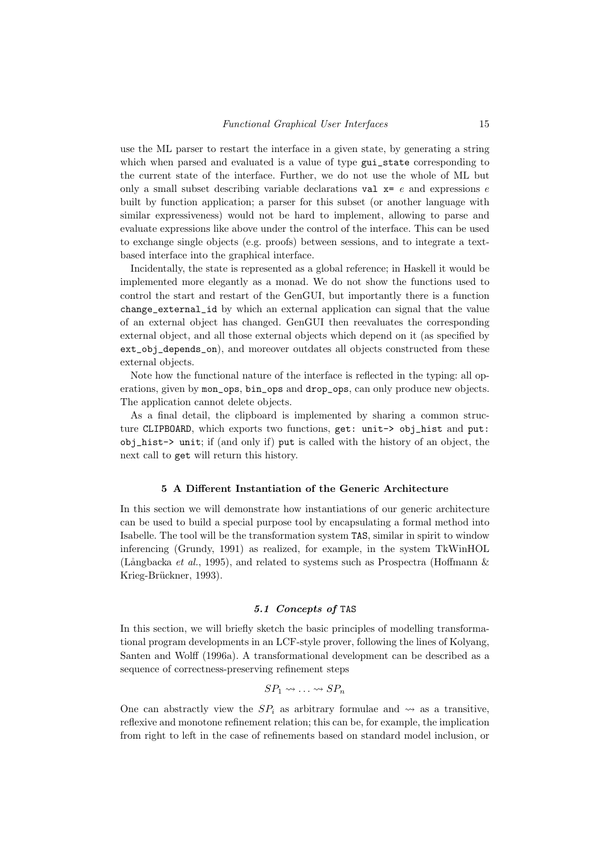use the ML parser to restart the interface in a given state, by generating a string which when parsed and evaluated is a value of type gui\_state corresponding to the current state of the interface. Further, we do not use the whole of ML but only a small subset describing variable declarations val  $x = e$  and expressions e built by function application; a parser for this subset (or another language with similar expressiveness) would not be hard to implement, allowing to parse and evaluate expressions like above under the control of the interface. This can be used to exchange single objects (e.g. proofs) between sessions, and to integrate a textbased interface into the graphical interface.

Incidentally, the state is represented as a global reference; in Haskell it would be implemented more elegantly as a monad. We do not show the functions used to control the start and restart of the GenGUI, but importantly there is a function change\_external\_id by which an external application can signal that the value of an external object has changed. GenGUI then reevaluates the corresponding external object, and all those external objects which depend on it (as specified by ext\_obj\_depends\_on), and moreover outdates all objects constructed from these external objects.

Note how the functional nature of the interface is reflected in the typing: all operations, given by mon\_ops, bin\_ops and drop\_ops, can only produce new objects. The application cannot delete objects.

As a final detail, the clipboard is implemented by sharing a common structure CLIPBOARD, which exports two functions, get: unit-> obj\_hist and put: obj\_hist-> unit; if (and only if) put is called with the history of an object, the next call to get will return this history.

# 5 A Different Instantiation of the Generic Architecture

In this section we will demonstrate how instantiations of our generic architecture can be used to build a special purpose tool by encapsulating a formal method into Isabelle. The tool will be the transformation system TAS, similar in spirit to window inferencing (Grundy, 1991) as realized, for example, in the system TkWinHOL (Långbacka et al., 1995), and related to systems such as Prospectra (Hoffmann  $\&$ Krieg-Brückner, 1993).

# 5.1 Concepts of TAS

In this section, we will briefly sketch the basic principles of modelling transformational program developments in an LCF-style prover, following the lines of Kolyang, Santen and Wolff (1996a). A transformational development can be described as a sequence of correctness-preserving refinement steps

$$
SP_1 \leadsto \ldots \leadsto SP_n
$$

One can abstractly view the  $SP_i$  as arbitrary formulae and  $\sim$  as a transitive, reflexive and monotone refinement relation; this can be, for example, the implication from right to left in the case of refinements based on standard model inclusion, or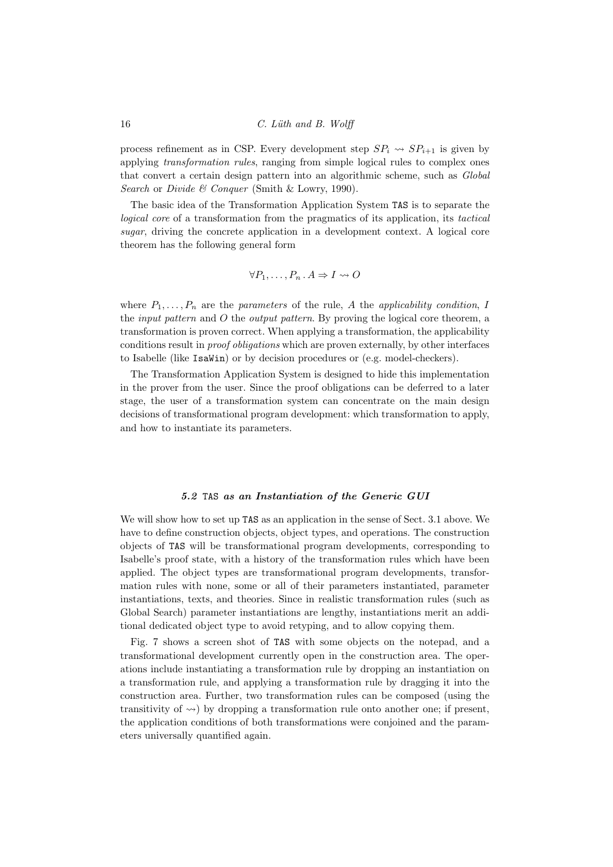## 16 C. Lüth and B. Wolff

process refinement as in CSP. Every development step  $SP_i \rightarrow SP_{i+1}$  is given by applying transformation rules, ranging from simple logical rules to complex ones that convert a certain design pattern into an algorithmic scheme, such as Global Search or Divide & Conquer (Smith & Lowry, 1990).

The basic idea of the Transformation Application System TAS is to separate the logical core of a transformation from the pragmatics of its application, its tactical sugar, driving the concrete application in a development context. A logical core theorem has the following general form

$$
\forall P_1, \dots, P_n \cdot A \Rightarrow I \rightsquigarrow O
$$

where  $P_1, \ldots, P_n$  are the parameters of the rule, A the applicability condition, I the input pattern and O the output pattern. By proving the logical core theorem, a transformation is proven correct. When applying a transformation, the applicability conditions result in proof obligations which are proven externally, by other interfaces to Isabelle (like IsaWin) or by decision procedures or (e.g. model-checkers).

The Transformation Application System is designed to hide this implementation in the prover from the user. Since the proof obligations can be deferred to a later stage, the user of a transformation system can concentrate on the main design decisions of transformational program development: which transformation to apply, and how to instantiate its parameters.

#### 5.2 TAS as an Instantiation of the Generic GUI

We will show how to set up TAS as an application in the sense of Sect. 3.1 above. We have to define construction objects, object types, and operations. The construction objects of TAS will be transformational program developments, corresponding to Isabelle's proof state, with a history of the transformation rules which have been applied. The object types are transformational program developments, transformation rules with none, some or all of their parameters instantiated, parameter instantiations, texts, and theories. Since in realistic transformation rules (such as Global Search) parameter instantiations are lengthy, instantiations merit an additional dedicated object type to avoid retyping, and to allow copying them.

Fig. 7 shows a screen shot of TAS with some objects on the notepad, and a transformational development currently open in the construction area. The operations include instantiating a transformation rule by dropping an instantiation on a transformation rule, and applying a transformation rule by dragging it into the construction area. Further, two transformation rules can be composed (using the transitivity of  $\rightarrow$ ) by dropping a transformation rule onto another one; if present, the application conditions of both transformations were conjoined and the parameters universally quantified again.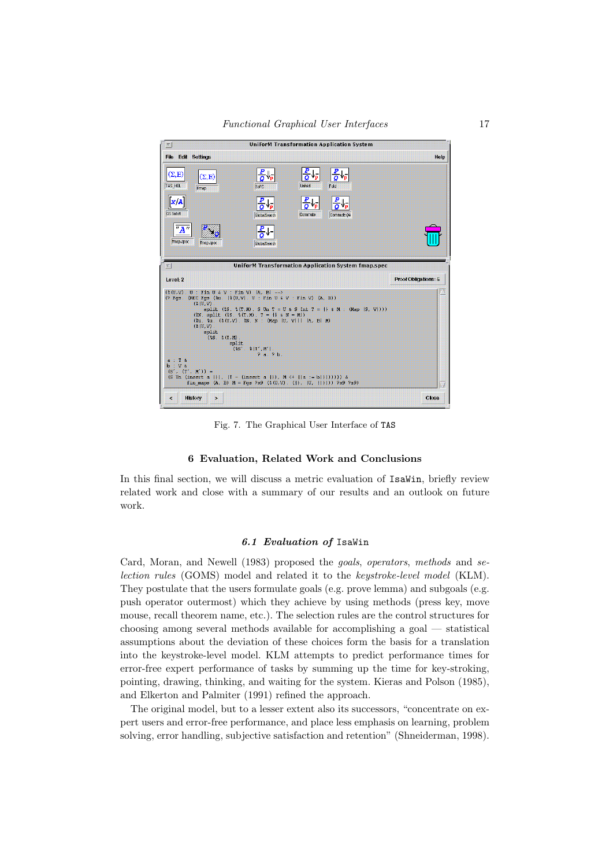

Fig. 7. The Graphical User Interface of TAS

#### 6 Evaluation, Related Work and Conclusions

In this final section, we will discuss a metric evaluation of IsaWin, briefly review related work and close with a summary of our results and an outlook on future work.

#### 6.1 Evaluation of IsaWin

Card, Moran, and Newell (1983) proposed the goals, operators, methods and selection rules (GOMS) model and related it to the keystroke-level model (KLM). They postulate that the users formulate goals (e.g. prove lemma) and subgoals (e.g. push operator outermost) which they achieve by using methods (press key, move mouse, recall theorem name, etc.). The selection rules are the control structures for choosing among several methods available for accomplishing a goal — statistical assumptions about the deviation of these choices form the basis for a translation into the keystroke-level model. KLM attempts to predict performance times for error-free expert performance of tasks by summing up the time for key-stroking, pointing, drawing, thinking, and waiting for the system. Kieras and Polson (1985), and Elkerton and Palmiter (1991) refined the approach.

The original model, but to a lesser extent also its successors, "concentrate on expert users and error-free performance, and place less emphasis on learning, problem solving, error handling, subjective satisfaction and retention" (Shneiderman, 1998).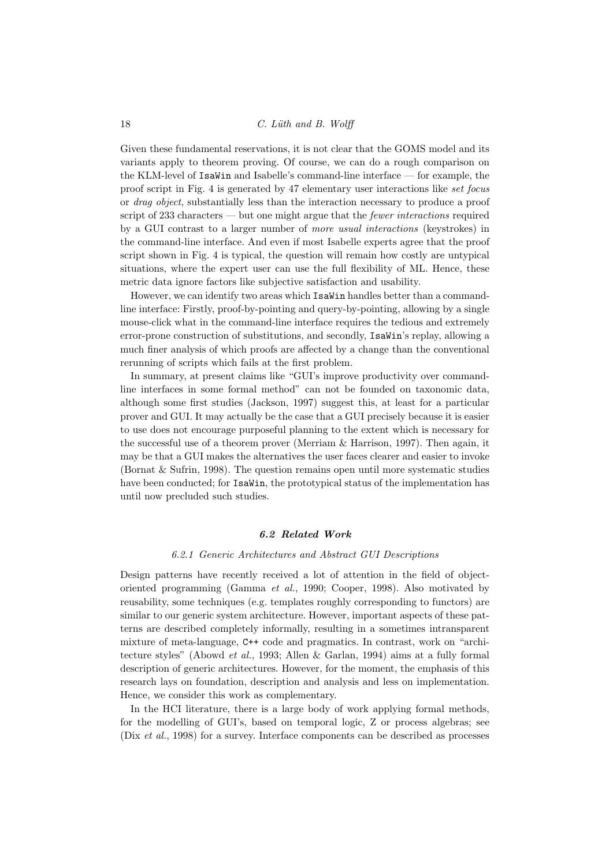# 18 C. Lüth and B. Wolff

Given these fundamental reservations, it is not clear that the GOMS model and its variants apply to theorem proving. Of course, we can do a rough comparison on the KLM-level of IsaWin and Isabelle's command-line interface — for example, the proof script in Fig. 4 is generated by 47 elementary user interactions like set focus or drag object, substantially less than the interaction necessary to produce a proof script of 233 characters — but one might argue that the *fewer interactions* required by a GUI contrast to a larger number of more usual interactions (keystrokes) in the command-line interface. And even if most Isabelle experts agree that the proof script shown in Fig. 4 is typical, the question will remain how costly are untypical situations, where the expert user can use the full flexibility of ML. Hence, these metric data ignore factors like subjective satisfaction and usability.

However, we can identify two areas which IsaWin handles better than a commandline interface: Firstly, proof-by-pointing and query-by-pointing, allowing by a single mouse-click what in the command-line interface requires the tedious and extremely error-prone construction of substitutions, and secondly, IsaWin's replay, allowing a much finer analysis of which proofs are affected by a change than the conventional rerunning of scripts which fails at the first problem.

In summary, at present claims like "GUI's improve productivity over commandline interfaces in some formal method" can not be founded on taxonomic data, although some first studies (Jackson, 1997) suggest this, at least for a particular prover and GUI. It may actually be the case that a GUI precisely because it is easier to use does not encourage purposeful planning to the extent which is necessary for the successful use of a theorem prover (Merriam & Harrison, 1997). Then again, it may be that a GUI makes the alternatives the user faces clearer and easier to invoke (Bornat & Sufrin, 1998). The question remains open until more systematic studies have been conducted; for IsaWin, the prototypical status of the implementation has until now precluded such studies.

# 6.2 Related Work

#### 6.2.1 Generic Architectures and Abstract GUI Descriptions

Design patterns have recently received a lot of attention in the field of objectoriented programming (Gamma et al., 1990; Cooper, 1998). Also motivated by reusability, some techniques (e.g. templates roughly corresponding to functors) are similar to our generic system architecture. However, important aspects of these patterns are described completely informally, resulting in a sometimes intransparent mixture of meta-language, C++ code and pragmatics. In contrast, work on "architecture styles" (Abowd et al., 1993; Allen & Garlan, 1994) aims at a fully formal description of generic architectures. However, for the moment, the emphasis of this research lays on foundation, description and analysis and less on implementation. Hence, we consider this work as complementary.

In the HCI literature, there is a large body of work applying formal methods, for the modelling of GUI's, based on temporal logic, Z or process algebras; see (Dix et al., 1998) for a survey. Interface components can be described as processes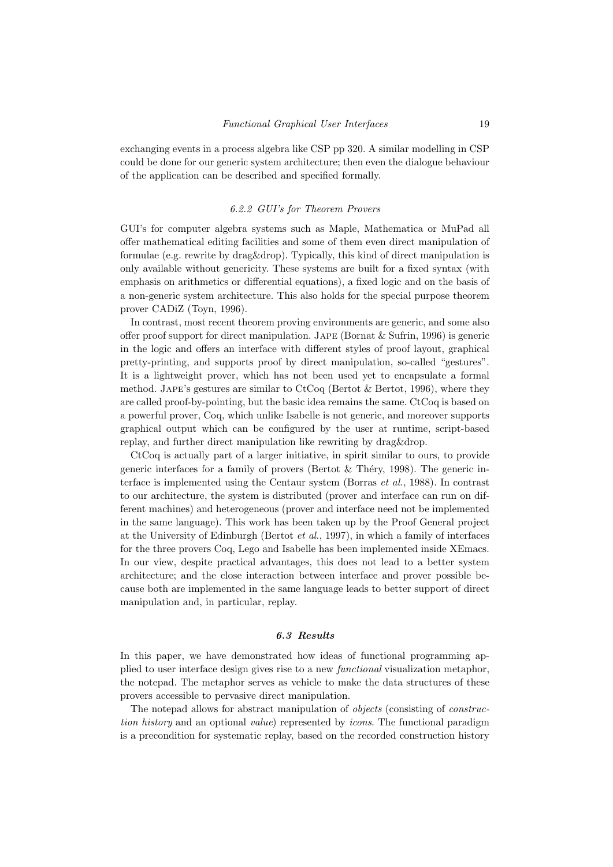exchanging events in a process algebra like CSP pp 320. A similar modelling in CSP could be done for our generic system architecture; then even the dialogue behaviour of the application can be described and specified formally.

# 6.2.2 GUI's for Theorem Provers

GUI's for computer algebra systems such as Maple, Mathematica or MuPad all offer mathematical editing facilities and some of them even direct manipulation of formulae (e.g. rewrite by drag&drop). Typically, this kind of direct manipulation is only available without genericity. These systems are built for a fixed syntax (with emphasis on arithmetics or differential equations), a fixed logic and on the basis of a non-generic system architecture. This also holds for the special purpose theorem prover CADiZ (Toyn, 1996).

In contrast, most recent theorem proving environments are generic, and some also offer proof support for direct manipulation. Jape (Bornat & Sufrin, 1996) is generic in the logic and offers an interface with different styles of proof layout, graphical pretty-printing, and supports proof by direct manipulation, so-called "gestures". It is a lightweight prover, which has not been used yet to encapsulate a formal method. JAPE's gestures are similar to CtCoq (Bertot  $\&$  Bertot, 1996), where they are called proof-by-pointing, but the basic idea remains the same. CtCoq is based on a powerful prover, Coq, which unlike Isabelle is not generic, and moreover supports graphical output which can be configured by the user at runtime, script-based replay, and further direct manipulation like rewriting by drag&drop.

CtCoq is actually part of a larger initiative, in spirit similar to ours, to provide generic interfaces for a family of provers (Bertot  $\&$  Théry, 1998). The generic interface is implemented using the Centaur system (Borras et al., 1988). In contrast to our architecture, the system is distributed (prover and interface can run on different machines) and heterogeneous (prover and interface need not be implemented in the same language). This work has been taken up by the Proof General project at the University of Edinburgh (Bertot et al., 1997), in which a family of interfaces for the three provers Coq, Lego and Isabelle has been implemented inside XEmacs. In our view, despite practical advantages, this does not lead to a better system architecture; and the close interaction between interface and prover possible because both are implemented in the same language leads to better support of direct manipulation and, in particular, replay.

# 6.3 Results

In this paper, we have demonstrated how ideas of functional programming applied to user interface design gives rise to a new functional visualization metaphor, the notepad. The metaphor serves as vehicle to make the data structures of these provers accessible to pervasive direct manipulation.

The notepad allows for abstract manipulation of objects (consisting of construction history and an optional value) represented by *icons*. The functional paradigm is a precondition for systematic replay, based on the recorded construction history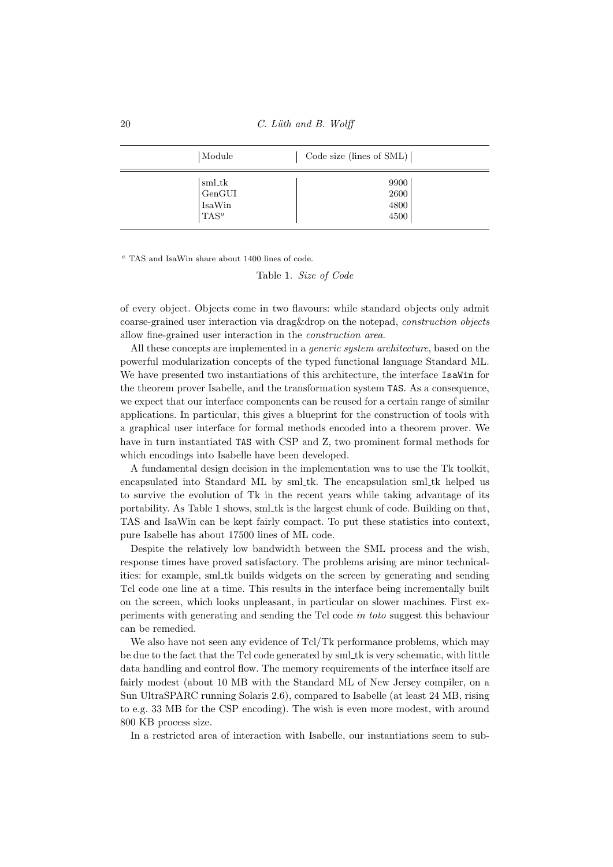| 20 |  |  | $C.$ Lüth and B. Wolff |
|----|--|--|------------------------|
|    |  |  |                        |

| Code size (lines of SML)         | Module                                |
|----------------------------------|---------------------------------------|
| 9900<br>2600<br>4800<br>$4500\,$ | sml_tk<br>GenGUI<br>IsaWin<br>$TAS^a$ |

<sup>a</sup> TAS and IsaWin share about 1400 lines of code.

Table 1. Size of Code

of every object. Objects come in two flavours: while standard objects only admit coarse-grained user interaction via drag&drop on the notepad, construction objects allow fine-grained user interaction in the construction area.

All these concepts are implemented in a *generic system architecture*, based on the powerful modularization concepts of the typed functional language Standard ML. We have presented two instantiations of this architecture, the interface IsaWin for the theorem prover Isabelle, and the transformation system TAS. As a consequence, we expect that our interface components can be reused for a certain range of similar applications. In particular, this gives a blueprint for the construction of tools with a graphical user interface for formal methods encoded into a theorem prover. We have in turn instantiated TAS with CSP and Z, two prominent formal methods for which encodings into Isabelle have been developed.

A fundamental design decision in the implementation was to use the Tk toolkit, encapsulated into Standard ML by sml\_tk. The encapsulation sml\_tk helped us to survive the evolution of Tk in the recent years while taking advantage of its portability. As Table 1 shows, sml\_tk is the largest chunk of code. Building on that, TAS and IsaWin can be kept fairly compact. To put these statistics into context, pure Isabelle has about 17500 lines of ML code.

Despite the relatively low bandwidth between the SML process and the wish, response times have proved satisfactory. The problems arising are minor technicalities: for example, sml tk builds widgets on the screen by generating and sending Tcl code one line at a time. This results in the interface being incrementally built on the screen, which looks unpleasant, in particular on slower machines. First experiments with generating and sending the Tcl code in toto suggest this behaviour can be remedied.

We also have not seen any evidence of Tcl/Tk performance problems, which may be due to the fact that the Tcl code generated by sml tk is very schematic, with little data handling and control flow. The memory requirements of the interface itself are fairly modest (about 10 MB with the Standard ML of New Jersey compiler, on a Sun UltraSPARC running Solaris 2.6), compared to Isabelle (at least 24 MB, rising to e.g. 33 MB for the CSP encoding). The wish is even more modest, with around 800 KB process size.

In a restricted area of interaction with Isabelle, our instantiations seem to sub-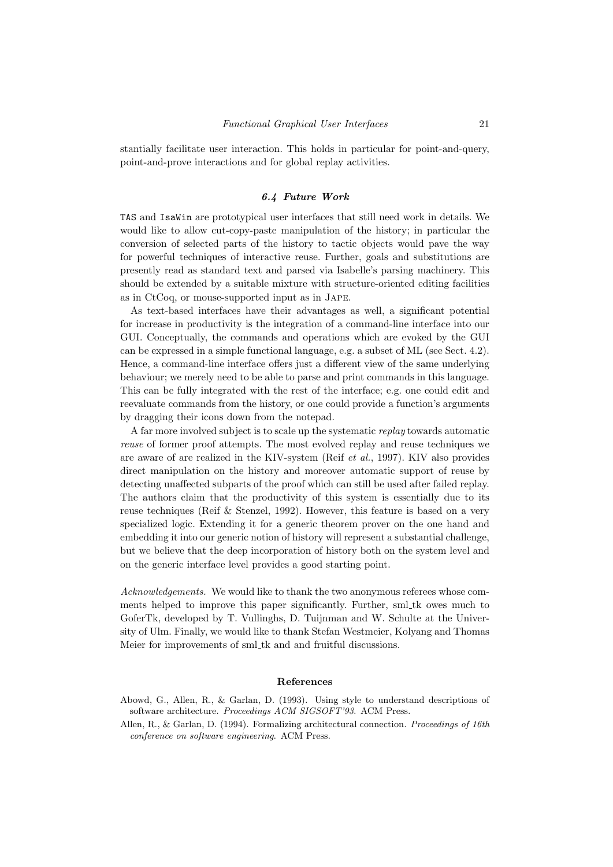stantially facilitate user interaction. This holds in particular for point-and-query, point-and-prove interactions and for global replay activities.

# 6.4 Future Work

TAS and IsaWin are prototypical user interfaces that still need work in details. We would like to allow cut-copy-paste manipulation of the history; in particular the conversion of selected parts of the history to tactic objects would pave the way for powerful techniques of interactive reuse. Further, goals and substitutions are presently read as standard text and parsed via Isabelle's parsing machinery. This should be extended by a suitable mixture with structure-oriented editing facilities as in CtCoq, or mouse-supported input as in Jape.

As text-based interfaces have their advantages as well, a significant potential for increase in productivity is the integration of a command-line interface into our GUI. Conceptually, the commands and operations which are evoked by the GUI can be expressed in a simple functional language, e.g. a subset of ML (see Sect. 4.2). Hence, a command-line interface offers just a different view of the same underlying behaviour; we merely need to be able to parse and print commands in this language. This can be fully integrated with the rest of the interface; e.g. one could edit and reevaluate commands from the history, or one could provide a function's arguments by dragging their icons down from the notepad.

A far more involved subject is to scale up the systematic replay towards automatic reuse of former proof attempts. The most evolved replay and reuse techniques we are aware of are realized in the KIV-system (Reif et al., 1997). KIV also provides direct manipulation on the history and moreover automatic support of reuse by detecting unaffected subparts of the proof which can still be used after failed replay. The authors claim that the productivity of this system is essentially due to its reuse techniques (Reif & Stenzel, 1992). However, this feature is based on a very specialized logic. Extending it for a generic theorem prover on the one hand and embedding it into our generic notion of history will represent a substantial challenge, but we believe that the deep incorporation of history both on the system level and on the generic interface level provides a good starting point.

Acknowledgements. We would like to thank the two anonymous referees whose comments helped to improve this paper significantly. Further, sml\_tk owes much to GoferTk, developed by T. Vullinghs, D. Tuijnman and W. Schulte at the University of Ulm. Finally, we would like to thank Stefan Westmeier, Kolyang and Thomas Meier for improvements of sml tk and and fruitful discussions.

#### References

- Abowd, G., Allen, R., & Garlan, D. (1993). Using style to understand descriptions of software architecture. Proceedings ACM SIGSOFT'93. ACM Press.
- Allen, R., & Garlan, D. (1994). Formalizing architectural connection. Proceedings of 16th conference on software engineering. ACM Press.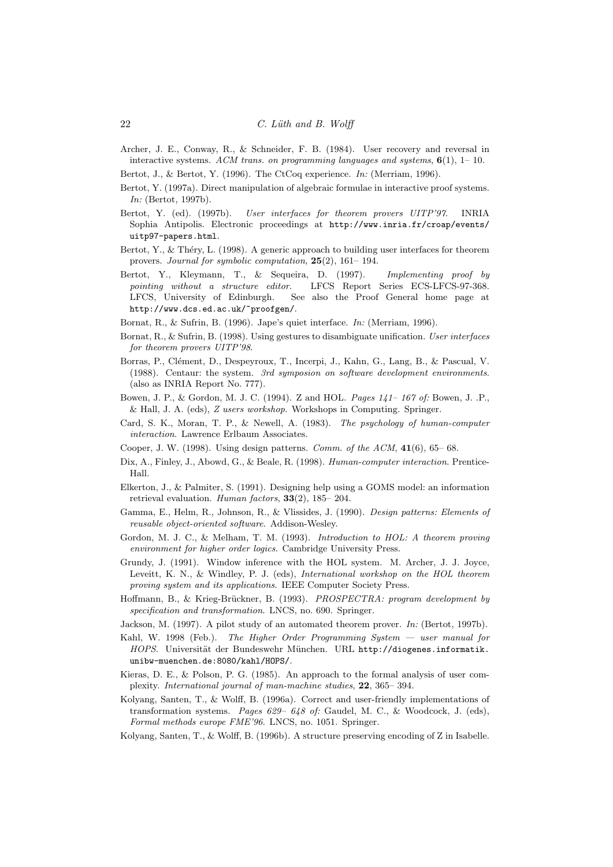- Archer, J. E., Conway, R., & Schneider, F. B. (1984). User recovery and reversal in interactive systems. ACM trans. on programming languages and systems,  $6(1)$ , 1–10.
- Bertot, J., & Bertot, Y. (1996). The CtCoq experience. In: (Merriam, 1996).
- Bertot, Y. (1997a). Direct manipulation of algebraic formulae in interactive proof systems. In: (Bertot, 1997b).
- Bertot, Y. (ed). (1997b). User interfaces for theorem provers UITP'97. INRIA Sophia Antipolis. Electronic proceedings at http://www.inria.fr/croap/events/ uitp97-papers.html.
- Bertot, Y., & Théry, L. (1998). A generic approach to building user interfaces for theorem provers. Journal for symbolic computation, 25(2), 161– 194.
- Bertot, Y., Kleymann, T., & Sequeira, D. (1997). Implementing proof by pointing without a structure editor. LFCS Report Series ECS-LFCS-97-368. LFCS, University of Edinburgh. See also the Proof General home page at http://www.dcs.ed.ac.uk/~proofgen/.
- Bornat, R., & Sufrin, B. (1996). Jape's quiet interface. In: (Merriam, 1996).
- Bornat, R., & Sufrin, B. (1998). Using gestures to disambiguate unification. User interfaces for theorem provers UITP'98.
- Borras, P., Clément, D., Despeyroux, T., Incerpi, J., Kahn, G., Lang, B., & Pascual, V. (1988). Centaur: the system. 3rd symposion on software development environments. (also as INRIA Report No. 777).
- Bowen, J. P., & Gordon, M. J. C. (1994). Z and HOL. Pages 141– 167 of: Bowen, J. .P., & Hall, J. A. (eds), Z users workshop. Workshops in Computing. Springer.
- Card, S. K., Moran, T. P., & Newell, A. (1983). The psychology of human-computer interaction. Lawrence Erlbaum Associates.
- Cooper, J. W. (1998). Using design patterns. Comm. of the ACM,  $41(6)$ ,  $65-68$ .
- Dix, A., Finley, J., Abowd, G., & Beale, R. (1998). Human-computer interaction. Prentice-Hall.
- Elkerton, J., & Palmiter, S. (1991). Designing help using a GOMS model: an information retrieval evaluation. Human factors, 33(2), 185– 204.
- Gamma, E., Helm, R., Johnson, R., & Vlissides, J. (1990). Design patterns: Elements of reusable object-oriented software. Addison-Wesley.
- Gordon, M. J. C., & Melham, T. M. (1993). Introduction to HOL: A theorem proving environment for higher order logics. Cambridge University Press.
- Grundy, J. (1991). Window inference with the HOL system. M. Archer, J. J. Joyce, Leveitt, K. N., & Windley, P. J. (eds), International workshop on the HOL theorem proving system and its applications. IEEE Computer Society Press.
- Hoffmann, B., & Krieg-Brückner, B. (1993). PROSPECTRA: program development by specification and transformation. LNCS, no. 690. Springer.
- Jackson, M. (1997). A pilot study of an automated theorem prover. In: (Bertot, 1997b).
- Kahl, W. 1998 (Feb.). The Higher Order Programming System  $-$  user manual for HOPS. Universität der Bundeswehr München. URL http://diogenes.informatik. unibw-muenchen.de:8080/kahl/HOPS/.
- Kieras, D. E., & Polson, P. G. (1985). An approach to the formal analysis of user complexity. International journal of man-machine studies, 22, 365– 394.
- Kolyang, Santen, T., & Wolff, B. (1996a). Correct and user-friendly implementations of transformation systems. Pages 629– 648 of: Gaudel, M. C., & Woodcock, J. (eds), Formal methods europe FME'96. LNCS, no. 1051. Springer.
- Kolyang, Santen, T., & Wolff, B. (1996b). A structure preserving encoding of Z in Isabelle.